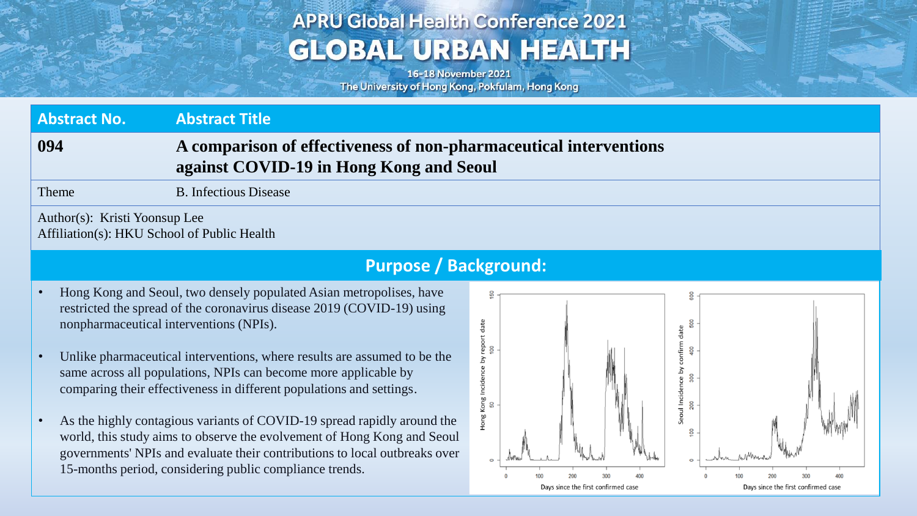# **APRU Global Health Conference 2021 GLOBAL URBAN HEALTH**

16-18 November 2021 The University of Hong Kong, Pokfulam, Hong Kong

| <b>Abstract No.</b>                                                          | <b>Abstract Title</b>                                                                                        |  |
|------------------------------------------------------------------------------|--------------------------------------------------------------------------------------------------------------|--|
| 094                                                                          | A comparison of effectiveness of non-pharmaceutical interventions<br>against COVID-19 in Hong Kong and Seoul |  |
| Theme                                                                        | <b>B.</b> Infectious Disease                                                                                 |  |
| Author(s): Kristi Yoonsup Lee<br>Affiliation(s): HKU School of Public Health |                                                                                                              |  |

### **Purpose / Background:**

- Hong Kong and Seoul, two densely populated Asian metropolises, have restricted the spread of the coronavirus disease 2019 (COVID-19) using nonpharmaceutical interventions (NPIs).
- Unlike pharmaceutical interventions, where results are assumed to be the same across all populations, NPIs can become more applicable by comparing their effectiveness in different populations and settings.
- As the highly contagious variants of COVID-19 spread rapidly around the world, this study aims to observe the evolvement of Hong Kong and Seoul governments' NPIs and evaluate their contributions to local outbreaks over 15-months period, considering public compliance trends.

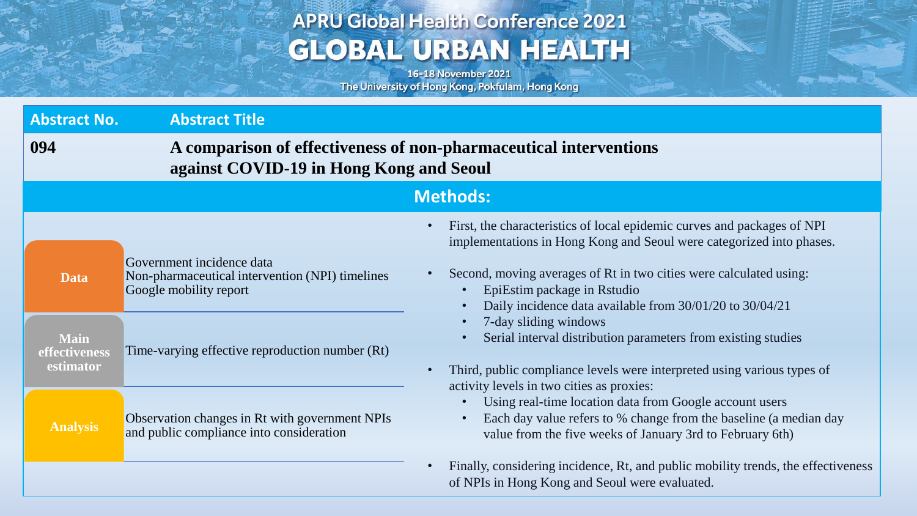# **APRU Global Health Conference 2021 GLOBAL URBAN HEALTH**

16-18 November 2021 The University of Hong Kong, Pokfulam, Hong Kong

Age Anywhere

| <b>Abstract No.</b>                                      | <b>Abstract Title</b>                                                                                                                                     |                                                                                                                                                                                                                                                                                                                                                                                                                                                                                                                                                                                                                                                                                                                                                                                     |  |  |
|----------------------------------------------------------|-----------------------------------------------------------------------------------------------------------------------------------------------------------|-------------------------------------------------------------------------------------------------------------------------------------------------------------------------------------------------------------------------------------------------------------------------------------------------------------------------------------------------------------------------------------------------------------------------------------------------------------------------------------------------------------------------------------------------------------------------------------------------------------------------------------------------------------------------------------------------------------------------------------------------------------------------------------|--|--|
| 094                                                      |                                                                                                                                                           | A comparison of effectiveness of non-pharmaceutical interventions<br>against COVID-19 in Hong Kong and Seoul                                                                                                                                                                                                                                                                                                                                                                                                                                                                                                                                                                                                                                                                        |  |  |
| <b>Methods:</b>                                          |                                                                                                                                                           |                                                                                                                                                                                                                                                                                                                                                                                                                                                                                                                                                                                                                                                                                                                                                                                     |  |  |
| <b>Data</b><br><b>Main</b><br>effectiveness<br>estimator | Government incidence data<br>Non-pharmaceutical intervention (NPI) timelines<br>Google mobility report<br>Time-varying effective reproduction number (Rt) | First, the characteristics of local epidemic curves and packages of NPI<br>$\bullet$<br>implementations in Hong Kong and Seoul were categorized into phases.<br>Second, moving averages of Rt in two cities were calculated using:<br>EpiEstim package in Rstudio<br>Daily incidence data available from 30/01/20 to 30/04/21<br>$\bullet$<br>7-day sliding windows<br>$\bullet$<br>Serial interval distribution parameters from existing studies<br>Third, public compliance levels were interpreted using various types of<br>$\bullet$<br>activity levels in two cities as proxies:<br>Using real-time location data from Google account users<br>Each day value refers to % change from the baseline (a median day<br>value from the five weeks of January 3rd to February 6th) |  |  |
| <b>Analysis</b>                                          | Observation changes in Rt with government NPIs<br>and public compliance into consideration                                                                |                                                                                                                                                                                                                                                                                                                                                                                                                                                                                                                                                                                                                                                                                                                                                                                     |  |  |
|                                                          |                                                                                                                                                           | Finally, considering incidence, Rt, and public mobility trends, the effectiveness<br>$\bullet$<br>of NPIs in Hong Kong and Seoul were evaluated.                                                                                                                                                                                                                                                                                                                                                                                                                                                                                                                                                                                                                                    |  |  |